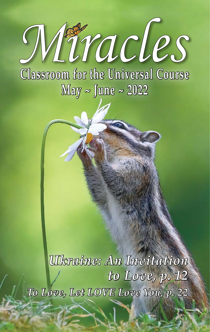Atracles **Classroom for the Universal Course May ~ June ~ 2022**

*Ukraine: An Invitation to Love, p. 12 To Love, Let LOVE Love You, p. 22*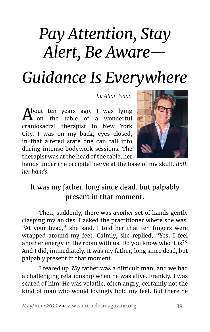# *Pay Attention, Stay Alert, Be Aware— Guidance Is Everywhere*

*by Allan Ishac* 

About ten years ago, I was lying on the table of a wonderful craniosacral therapist in New York City. I was on my back, eyes closed, in that altered state one can fall into during intense bodywork sessions. The therapist was at the head of the table, her



hands under the occipital nerve at the base of my skull. *Both her hands.*

### It was my father, long since dead, but palpably present in that moment.

Then, suddenly, there was *another* set of hands gently clasping my ankles. I asked the practitioner where she was. "At your head," she said. I told her that ten fingers were wrapped around my feet. Calmly, she replied, "Yes, I feel another energy in the room with us. Do you know who it is?" And I did, immediately. It was my father, long since dead, but palpably present in that moment.

I teared up. My father was a difficult man, and we had a challenging relationship when he was alive. Frankly, I was scared of him. He was volatile, often angry; certainly not the kind of man who would lovingly hold my feet. But there he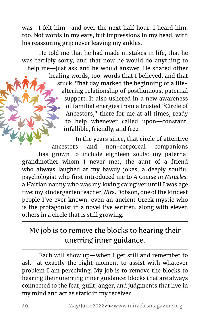was—I felt him—and over the next half hour, I heard him, too. Not words in my ears, but impressions in my head, with his reassuring grip never leaving my ankles.

He told me that he had made mistakes in life, that he was terribly sorry, and that now he would do anything to help me—just ask and he would answer. He shared other

> healing words, too, words that I believed, and that stuck. That day marked the beginning of a lifealtering relationship of posthumous, paternal support. It also ushered in a new awareness of familial energies from a trusted "Circle of Ancestors," there for me at all times, ready to help whenever called upon—constant, infallible, friendly, and free.

In the years since, that circle of attentive ancestors and non-corporeal companions has grown to include eighteen souls: my paternal grandmother whom I never met; the aunt of a friend who always laughed at my bawdy jokes; a deeply soulful psychologist who first introduced me to *A Course In Miracles*; a Haitian nanny who was my loving caregiver until I was age five; my kindergarten teacher, Mrs. Dobson, one of the kindest people I've ever known; even an ancient Greek mystic who is the protagonist in a novel I've written, along with eleven others in a circle that is still growing.

#### My job is to remove the blocks to hearing their unerring inner guidance.

Each will show up—when I get still and remember to ask—at exactly the right moment to assist with whatever problem I am perceiving. My job is to remove the blocks to hearing their unerring inner guidance; blocks that are always connected to the fear, guilt, anger, and judgments that live in my mind and act as static in my receiver.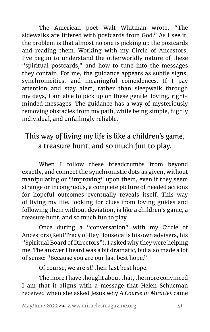The American poet Walt Whitman wrote, "The sidewalks are littered with postcards from God." As I see it, the problem is that almost no one is picking up the postcards and reading them. Working with my Circle of Ancestors, I've begun to understand the otherworldly nature of these "spiritual postcards," and how to tune into the messages they contain. For me, the guidance appears as subtle signs, synchronicities, and meaningful coincidences. If I pay attention and stay alert, rather than sleepwalk through my days, I am able to pick up on these gentle, loving, rightminded messages. The guidance has a way of mysteriously removing obstacles from my path, while being simple, highly individual, and unfailingly reliable.

# This way of living my life is like a children's game, a treasure hunt, and so much fun to play.

When I follow these breadcrumbs from beyond exactly, and connect the synchronistic dots as given, without manipulating or "improving" upon them, even if they seem strange or incongruous, a complete picture of needed actions for hopeful outcomes eventually reveals itself. This way of living my life, looking for clues from loving guides and following them without deviation, is like a children's game, a treasure hunt, and so much fun to play.

Once during a "conversation" with my Circle of Ancestors (Reid Tracy of Hay House calls his own advisers, his "Spiritual Board of Directors"), I asked why they were helping me. The answer I heard was a bit dramatic, but also made a lot of sense: "Because you are our last best hope."

Of course, we are *all* their last best hope.

The more I have thought about that, the more convinced I am that it aligns with a message that Helen Schucman received when she asked Jesus why *A Course in Miracles* came